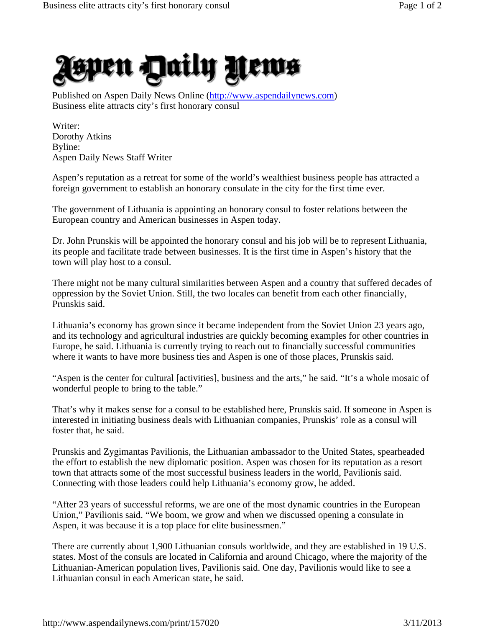

Published on Aspen Daily News Online (http://www.aspendailynews.com) Business elite attracts city's first honorary consul

Writer: Dorothy Atkins Byline: Aspen Daily News Staff Writer

Aspen's reputation as a retreat for some of the world's wealthiest business people has attracted a foreign government to establish an honorary consulate in the city for the first time ever.

The government of Lithuania is appointing an honorary consul to foster relations between the European country and American businesses in Aspen today.

Dr. John Prunskis will be appointed the honorary consul and his job will be to represent Lithuania, its people and facilitate trade between businesses. It is the first time in Aspen's history that the town will play host to a consul.

There might not be many cultural similarities between Aspen and a country that suffered decades of oppression by the Soviet Union. Still, the two locales can benefit from each other financially, Prunskis said.

Lithuania's economy has grown since it became independent from the Soviet Union 23 years ago, and its technology and agricultural industries are quickly becoming examples for other countries in Europe, he said. Lithuania is currently trying to reach out to financially successful communities where it wants to have more business ties and Aspen is one of those places, Prunskis said.

"Aspen is the center for cultural [activities], business and the arts," he said. "It's a whole mosaic of wonderful people to bring to the table."

That's why it makes sense for a consul to be established here, Prunskis said. If someone in Aspen is interested in initiating business deals with Lithuanian companies, Prunskis' role as a consul will foster that, he said.

Prunskis and Zygimantas Pavilionis, the Lithuanian ambassador to the United States, spearheaded the effort to establish the new diplomatic position. Aspen was chosen for its reputation as a resort town that attracts some of the most successful business leaders in the world, Pavilionis said. Connecting with those leaders could help Lithuania's economy grow, he added.

"After 23 years of successful reforms, we are one of the most dynamic countries in the European Union," Pavilionis said. "We boom, we grow and when we discussed opening a consulate in Aspen, it was because it is a top place for elite businessmen."

There are currently about 1,900 Lithuanian consuls worldwide, and they are established in 19 U.S. states. Most of the consuls are located in California and around Chicago, where the majority of the Lithuanian-American population lives, Pavilionis said. One day, Pavilionis would like to see a Lithuanian consul in each American state, he said.